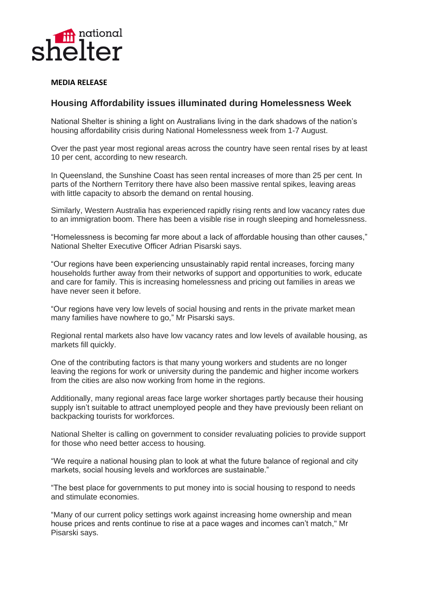

## **MEDIA RELEASE**

## **Housing Affordability issues illuminated during Homelessness Week**

National Shelter is shining a light on Australians living in the dark shadows of the nation's housing affordability crisis during National Homelessness week from 1-7 August.

Over the past year most regional areas across the country have seen rental rises by at least 10 per cent, according to new research.

In Queensland, the Sunshine Coast has seen rental increases of more than 25 per cent*.* In parts of the Northern Territory there have also been massive rental spikes, leaving areas with little capacity to absorb the demand on rental housing.

Similarly, Western Australia has experienced rapidly rising rents and low vacancy rates due to an immigration boom. There has been a visible rise in rough sleeping and homelessness.

"Homelessness is becoming far more about a lack of affordable housing than other causes," National Shelter Executive Officer Adrian Pisarski says.

"Our regions have been experiencing unsustainably rapid rental increases, forcing many households further away from their networks of support and opportunities to work, educate and care for family. This is increasing homelessness and pricing out families in areas we have never seen it before.

"Our regions have very low levels of social housing and rents in the private market mean many families have nowhere to go," Mr Pisarski says.

Regional rental markets also have low vacancy rates and low levels of available housing, as markets fill quickly.

One of the contributing factors is that many young workers and students are no longer leaving the regions for work or university during the pandemic and higher income workers from the cities are also now working from home in the regions.

Additionally, many regional areas face large worker shortages partly because their housing supply isn't suitable to attract unemployed people and they have previously been reliant on backpacking tourists for workforces.

National Shelter is calling on government to consider revaluating policies to provide support for those who need better access to housing.

"We require a national housing plan to look at what the future balance of regional and city markets, social housing levels and workforces are sustainable."

"The best place for governments to put money into is social housing to respond to needs and stimulate economies.

"Many of our current policy settings work against increasing home ownership and mean house prices and rents continue to rise at a pace wages and incomes can't match," Mr Pisarski says.